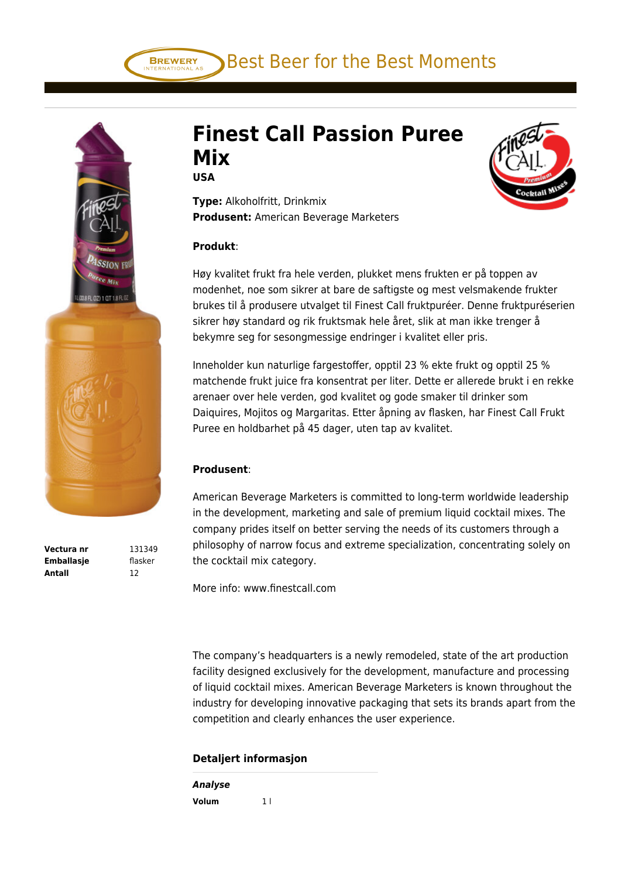Best Beer for the Best Moments



**Vectura nr** 131349 **Emballasje** flasker **Antall** 12

## **Finest Call Passion Puree Mix**

**USA**

**BREWERY** 

**Type:** Alkoholfritt, Drinkmix **Produsent:** American Beverage Marketers

## **Produkt**:

Høy kvalitet frukt fra hele verden, plukket mens frukten er på toppen av modenhet, noe som sikrer at bare de saftigste og mest velsmakende frukter brukes til å produsere utvalget til Finest Call fruktpuréer. Denne fruktpuréserien sikrer høy standard og rik fruktsmak hele året, slik at man ikke trenger å bekymre seg for sesongmessige endringer i kvalitet eller pris.

Inneholder kun naturlige fargestoffer, opptil 23 % ekte frukt og opptil 25 % matchende frukt juice fra konsentrat per liter. Dette er allerede brukt i en rekke arenaer over hele verden, god kvalitet og gode smaker til drinker som Daiquires, Mojitos og Margaritas. Etter åpning av flasken, har Finest Call Frukt Puree en holdbarhet på 45 dager, uten tap av kvalitet.

## **Produsent**:

American Beverage Marketers is committed to long-term worldwide leadership in the development, marketing and sale of premium liquid cocktail mixes. The company prides itself on better serving the needs of its customers through a philosophy of narrow focus and extreme specialization, concentrating solely on the cocktail mix category.

More info: www.finestcall.com

The company's headquarters is a newly remodeled, state of the art production facility designed exclusively for the development, manufacture and processing of liquid cocktail mixes. American Beverage Marketers is known throughout the industry for developing innovative packaging that sets its brands apart from the competition and clearly enhances the user experience.

## **Detaljert informasjon**

| Analyse |                |
|---------|----------------|
| Volum   | 1 <sup>1</sup> |